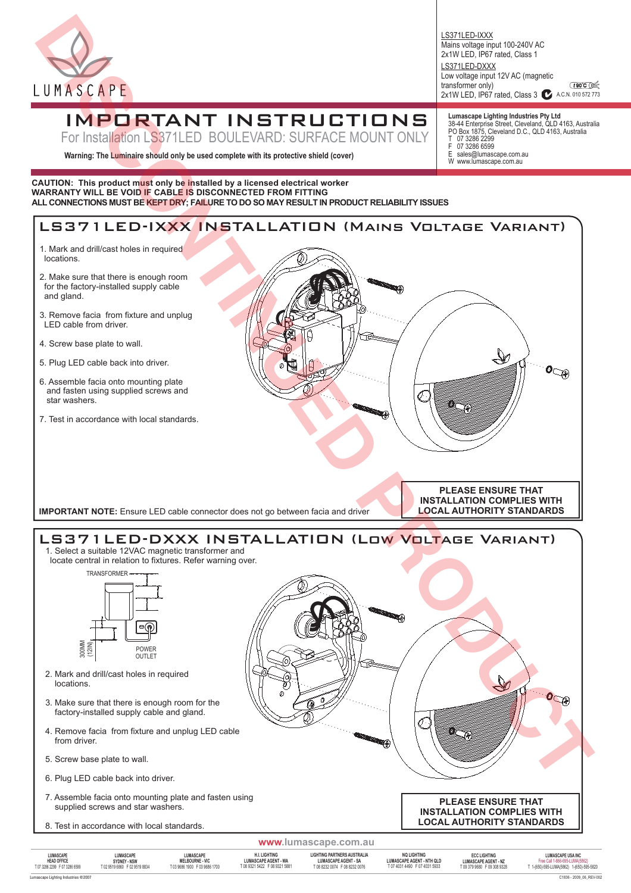

# IMPORTANT INSTRUCTIONS

For Installation LS371LED BOULEVARD: SURFACE MOUNT ONLY

**Warning: The Luminaire should only be used complete with its protective shield (cover)**

#### **CAUTION: This product must only be installed by a licensed electrical worker WARRANTY WILL BE VOID IF CABLE IS DISCONNECTED FROM FITTING ALL CONNECTIONS MUST BE KEPT DRY; FAILURE TO DO SO MAY RESULT IN PRODUCT RELIABILITY ISSUES**



**Lumascape Lighting Industries Pty Ltd**

sales@lumascape.com.au W www.lumascape.com.au

Mains voltage input 100-240V AC 2x1W LED, IP67 rated, Class 1

Low voltage input 12V AC (magnetic

07 3286 2299 F 07 3286 6599<br>E sales@lumaso

LS371LED-IXXX

LS371LED-DXXX

transformer only)

38-44 Enterprise Street, Cleveland, QLD 4163, Australia PO Box 1875, Cleveland D.C., QLD 4163, Australia

2x1W LED, IP67 rated, Class 3 24 A.C.N. 010 572 773

**t 90℃** 

Lumascape Lighting Industries **©**2007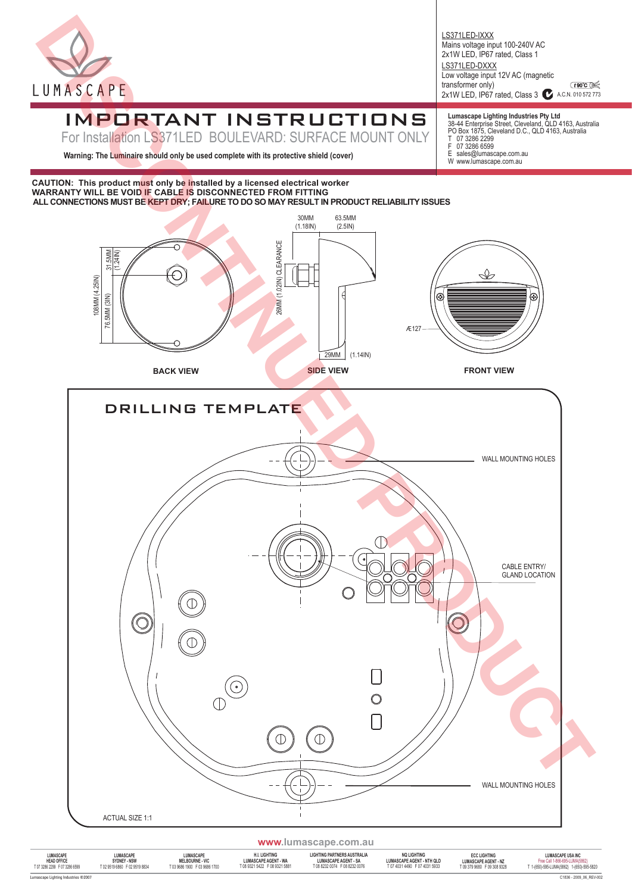

**t** 90℃ ( $\leq$ 2x1W LED, IP67 rated, Class 3 2 A.C.N. 010 572 773 LS371LED-IXXX Mains voltage input 100-240V AC 2x1W LED, IP67 rated, Class 1 LS371LED-DXXX Low voltage input 12V AC (magnetic transformer only)

## IMPORTANT INSTRUCTIONS

For Installation LS371LED BOULEVARD: SURFACE MOUNT ONLY

**Warning: The Luminaire should only be used complete with its protective shield (cover)**

**CAUTION: This product must only be installed by a licensed electrical worker WARRANTY WILL BE VOID IF CABLE IS DISCONNECTED FROM FITTING**



**LUMASCAPE**

**LUMASCAPE MELBOURNE - VIC** T 03 9686 1900 F 03 9686 1700

**ECC LIGHTING LUMASCAPE AGENT - NZ** T 09 379 9680 F 09 308 9328

**Lumascape Lighting Industries Pty Ltd**

## 38-44 Enterprise Street, Cleveland, QLD 4163, Australia PO Box 1875, Cleveland D.C., QLD 4163, Australia

- T 07 3286 2299 F 07 3286 6599
- E sales@lumascape.com.au W www.lumascape.com.au